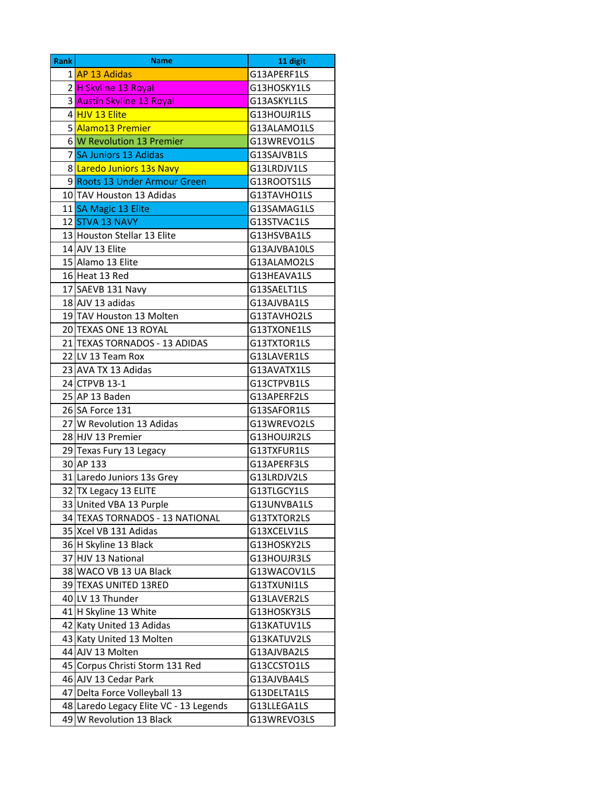| <b>Rank</b> | <b>Name</b>                            | 11 digit     |
|-------------|----------------------------------------|--------------|
|             | 1 AP 13 Adidas                         | G13APERF1LS  |
|             | 2H Skyline 13 Royal                    | G13HOSKY1LS  |
|             | 3 Austin Skyline 13 Royal              | G13ASKYL1LS  |
|             | 4 <mark>HJV 13 Elite</mark>            | G13HOUJR1LS  |
|             | 5 Alamo13 Premier                      | G13ALAMO1LS  |
|             | 6 W Revolution 13 Premier              | G13WREVO1LS  |
|             | 7 SA Juniors 13 Adidas                 | G13SAJVB1LS  |
|             | 8 Laredo Juniors 13s Navy              | G13LRDJV1LS  |
|             | 9 Roots 13 Under Armour Green          | G13ROOTS1LS  |
|             | 10 TAV Houston 13 Adidas               | G13TAVHO1LS  |
|             | 11 SA Magic 13 Elite                   | G13SAMAG1LS  |
|             | 12 STVA 13 NAVY                        | G13STVAC1LS  |
|             | 13 Houston Stellar 13 Elite            | G13HSVBA1LS  |
|             | 14 AJV 13 Elite                        | G13AJVBA10LS |
|             | 15 Alamo 13 Elite                      | G13ALAMO2LS  |
|             | 16 Heat 13 Red                         | G13HEAVA1LS  |
|             | 17 SAEVB 131 Navy                      | G13SAELT1LS  |
|             | 18 AJV 13 adidas                       | G13AJVBA1LS  |
|             | 19 TAV Houston 13 Molten               | G13TAVHO2LS  |
|             | 20 TEXAS ONE 13 ROYAL                  | G13TXONE1LS  |
|             | 21 TEXAS TORNADOS - 13 ADIDAS          | G13TXTOR1LS  |
|             | 22 LV 13 Team Rox                      | G13LAVER1LS  |
|             | 23 AVA TX 13 Adidas                    | G13AVATX1LS  |
|             | 24 CTPVB 13-1                          | G13CTPVB1LS  |
|             | 25 AP 13 Baden                         | G13APERF2LS  |
|             | 26 SA Force 131                        | G13SAFOR1LS  |
|             | 27 W Revolution 13 Adidas              | G13WREVO2LS  |
|             | 28 HJV 13 Premier                      | G13HOUJR2LS  |
|             | 29 Texas Fury 13 Legacy                | G13TXFUR1LS  |
|             | 30 AP 133                              | G13APERF3LS  |
|             | 31 Laredo Juniors 13s Grey             | G13LRDJV2LS  |
|             | 32 TX Legacy 13 ELITE                  | G13TLGCY1LS  |
|             | 33 United VBA 13 Purple                | G13UNVBA1LS  |
|             | 34 TEXAS TORNADOS - 13 NATIONAL        | G13TXTOR2LS  |
|             | 35 Xcel VB 131 Adidas                  | G13XCELV1LS  |
|             | 36 H Skyline 13 Black                  | G13HOSKY2LS  |
|             | 37 HJV 13 National                     | G13HOUJR3LS  |
|             | 38 WACO VB 13 UA Black                 | G13WACOV1LS  |
|             | 39 TEXAS UNITED 13RED                  | G13TXUNI1LS  |
|             | 40 LV 13 Thunder                       | G13LAVER2LS  |
|             | 41 H Skyline 13 White                  | G13HOSKY3LS  |
|             | 42 Katy United 13 Adidas               | G13KATUV1LS  |
|             | 43 Katy United 13 Molten               | G13KATUV2LS  |
|             | 44 AJV 13 Molten                       | G13AJVBA2LS  |
|             | 45 Corpus Christi Storm 131 Red        | G13CCSTO1LS  |
|             | 46 AJV 13 Cedar Park                   | G13AJVBA4LS  |
|             | 47 Delta Force Volleyball 13           | G13DELTA1LS  |
|             | 48 Laredo Legacy Elite VC - 13 Legends | G13LLEGA1LS  |
|             | 49 W Revolution 13 Black               | G13WREVO3LS  |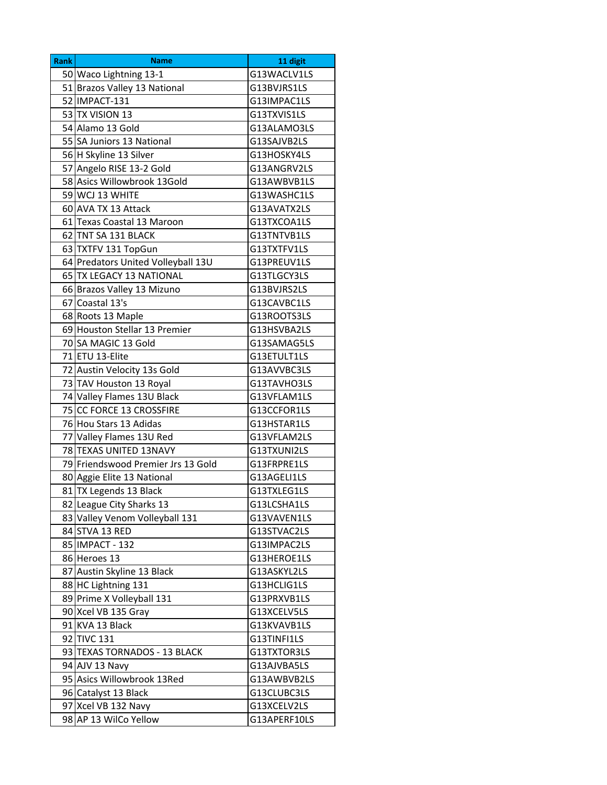| Rank | <b>Name</b>                        | 11 digit     |
|------|------------------------------------|--------------|
|      | 50 Waco Lightning 13-1             | G13WACLV1LS  |
|      | 51 Brazos Valley 13 National       | G13BVJRS1LS  |
|      | 52   IMPACT-131                    | G13IMPAC1LS  |
|      | 53 TX VISION 13                    | G13TXVIS1LS  |
|      | 54 Alamo 13 Gold                   | G13ALAMO3LS  |
|      | 55 SA Juniors 13 National          | G13SAJVB2LS  |
|      | 56 H Skyline 13 Silver             | G13HOSKY4LS  |
|      | 57 Angelo RISE 13-2 Gold           | G13ANGRV2LS  |
|      | 58 Asics Willowbrook 13Gold        | G13AWBVB1LS  |
|      | 59 WCJ 13 WHITE                    | G13WASHC1LS  |
|      | 60 AVA TX 13 Attack                | G13AVATX2LS  |
|      | 61 Texas Coastal 13 Maroon         | G13TXCOA1LS  |
|      | 62 TNT SA 131 BLACK                | G13TNTVB1LS  |
|      | 63 TXTFV 131 TopGun                | G13TXTFV1LS  |
|      | 64 Predators United Volleyball 13U | G13PREUV1LS  |
|      | 65 TX LEGACY 13 NATIONAL           | G13TLGCY3LS  |
|      | 66 Brazos Valley 13 Mizuno         | G13BVJRS2LS  |
|      | 67 Coastal 13's                    | G13CAVBC1LS  |
|      | 68 Roots 13 Maple                  | G13ROOTS3LS  |
|      | 69 Houston Stellar 13 Premier      | G13HSVBA2LS  |
|      | 70 SA MAGIC 13 Gold                | G13SAMAG5LS  |
|      | 71 ETU 13-Elite                    | G13ETULT1LS  |
|      | 72 Austin Velocity 13s Gold        | G13AVVBC3LS  |
|      | 73 TAV Houston 13 Royal            | G13TAVHO3LS  |
|      | 74 Valley Flames 13U Black         | G13VFLAM1LS  |
|      | 75 CC FORCE 13 CROSSFIRE           | G13CCFOR1LS  |
|      | 76 Hou Stars 13 Adidas             | G13HSTAR1LS  |
|      | 77 Valley Flames 13U Red           | G13VFLAM2LS  |
|      | 78 TEXAS UNITED 13NAVY             | G13TXUNI2LS  |
|      | 79 Friendswood Premier Jrs 13 Gold | G13FRPRE1LS  |
|      | 80 Aggie Elite 13 National         | G13AGELI1LS  |
|      | 81 TX Legends 13 Black             | G13TXLEG1LS  |
|      | 82 League City Sharks 13           | G13LCSHA1LS  |
|      | 83 Valley Venom Volleyball 131     | G13VAVEN1LS  |
|      | 84 STVA 13 RED                     | G13STVAC2LS  |
|      | 85   IMPACT - 132                  | G13IMPAC2LS  |
|      | 86 Heroes 13                       | G13HEROE1LS  |
|      | 87 Austin Skyline 13 Black         | G13ASKYL2LS  |
|      | 88 HC Lightning 131                | G13HCLIG1LS  |
|      | 89 Prime X Volleyball 131          | G13PRXVB1LS  |
|      | 90 Xcel VB 135 Gray                | G13XCELV5LS  |
|      | 91 KVA 13 Black                    | G13KVAVB1LS  |
|      | 92 TIVC 131                        | G13TINFI1LS  |
|      | 93 TEXAS TORNADOS - 13 BLACK       | G13TXTOR3LS  |
|      | 94 AJV 13 Navy                     | G13AJVBA5LS  |
|      | 95 Asics Willowbrook 13Red         | G13AWBVB2LS  |
|      | 96 Catalyst 13 Black               | G13CLUBC3LS  |
|      | 97 Xcel VB 132 Navy                | G13XCELV2LS  |
|      | 98 AP 13 WilCo Yellow              | G13APERF10LS |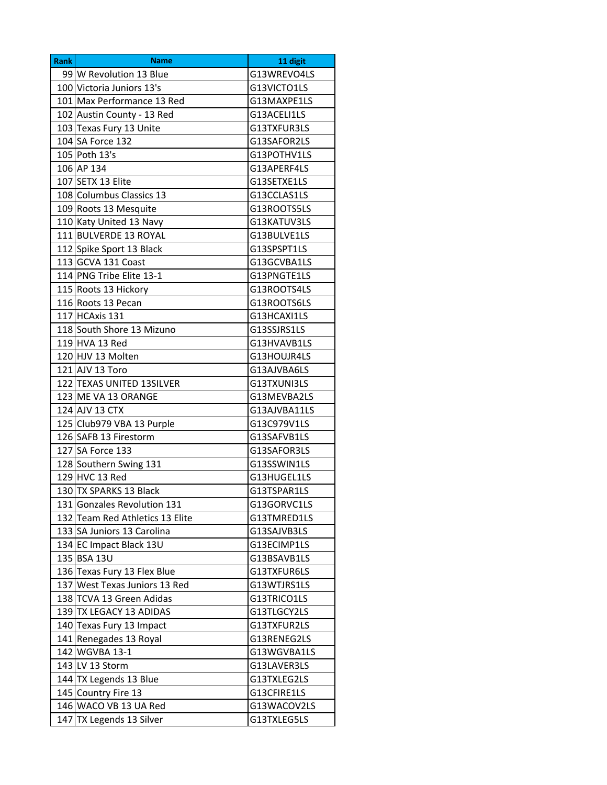| <b>Rank</b> | <b>Name</b>                     | 11 digit     |
|-------------|---------------------------------|--------------|
|             | 99 W Revolution 13 Blue         | G13WREVO4LS  |
|             | 100 Victoria Juniors 13's       | G13VICTO1LS  |
|             | 101 Max Performance 13 Red      | G13MAXPE1LS  |
|             | 102 Austin County - 13 Red      | G13ACELI1LS  |
|             | 103 Texas Fury 13 Unite         | G13TXFUR3LS  |
|             | 104 SA Force 132                | G13SAFOR2LS  |
|             | 105 Poth 13's                   | G13POTHV1LS  |
|             | 106 AP 134                      | G13APERF4LS  |
|             | 107 SETX 13 Elite               | G13SETXE1LS  |
|             | 108 Columbus Classics 13        | G13CCLAS1LS  |
|             | 109 Roots 13 Mesquite           | G13ROOTS5LS  |
|             | 110 Katy United 13 Navy         | G13KATUV3LS  |
|             | 111 BULVERDE 13 ROYAL           | G13BULVE1LS  |
|             | 112 Spike Sport 13 Black        | G13SPSPT1LS  |
|             | 113 GCVA 131 Coast              | G13GCVBA1LS  |
|             | 114 PNG Tribe Elite 13-1        | G13PNGTE1LS  |
|             | 115 Roots 13 Hickory            | G13ROOTS4LS  |
|             | 116 Roots 13 Pecan              | G13ROOTS6LS  |
|             | 117 HCAxis 131                  | G13HCAXI1LS  |
|             | 118 South Shore 13 Mizuno       | G13SSJRS1LS  |
|             | 119 HVA 13 Red                  | G13HVAVB1LS  |
|             | 120 HJV 13 Molten               | G13HOUJR4LS  |
|             | 121 AJV 13 Toro                 | G13AJVBA6LS  |
|             | 122 TEXAS UNITED 13SILVER       | G13TXUNI3LS  |
|             | 123 ME VA 13 ORANGE             | G13MEVBA2LS  |
|             | 124 AJV 13 CTX                  | G13AJVBA11LS |
|             | 125 Club979 VBA 13 Purple       | G13C979V1LS  |
|             | 126 SAFB 13 Firestorm           | G13SAFVB1LS  |
|             | 127 SA Force 133                | G13SAFOR3LS  |
|             | 128 Southern Swing 131          | G13SSWIN1LS  |
|             | 129 HVC 13 Red                  | G13HUGEL1LS  |
|             | 130 TX SPARKS 13 Black          | G13TSPAR1LS  |
|             | 131 Gonzales Revolution 131     | G13GORVC1LS  |
|             | 132 Team Red Athletics 13 Elite | G13TMRED1LS  |
|             | 133 SA Juniors 13 Carolina      | G13SAJVB3LS  |
|             | 134 EC Impact Black 13U         | G13ECIMP1LS  |
|             | 135 BSA 13U                     | G13BSAVB1LS  |
|             | 136 Texas Fury 13 Flex Blue     | G13TXFUR6LS  |
|             | 137 West Texas Juniors 13 Red   | G13WTJRS1LS  |
|             | 138 TCVA 13 Green Adidas        | G13TRICO1LS  |
|             | 139 TX LEGACY 13 ADIDAS         | G13TLGCY2LS  |
|             | 140 Texas Fury 13 Impact        | G13TXFUR2LS  |
|             | 141 Renegades 13 Royal          | G13RENEG2LS  |
|             | 142 WGVBA 13-1                  | G13WGVBA1LS  |
|             | 143 LV 13 Storm                 | G13LAVER3LS  |
|             | 144 TX Legends 13 Blue          | G13TXLEG2LS  |
|             | 145 Country Fire 13             | G13CFIRE1LS  |
|             | 146 WACO VB 13 UA Red           | G13WACOV2LS  |
| 147         | TX Legends 13 Silver            | G13TXLEG5LS  |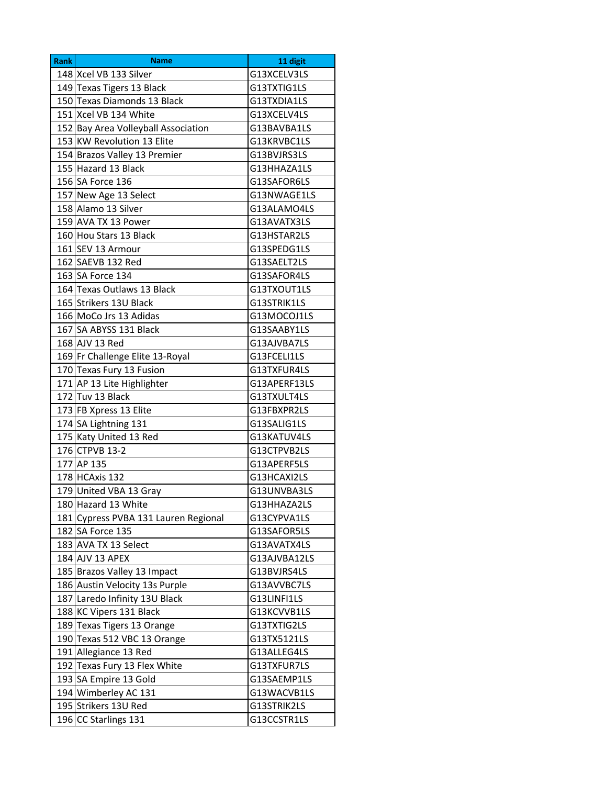| <b>Rank</b> | <b>Name</b>                          | 11 digit     |
|-------------|--------------------------------------|--------------|
|             | 148 Xcel VB 133 Silver               | G13XCELV3LS  |
|             | 149 Texas Tigers 13 Black            | G13TXTIG1LS  |
|             | 150 Texas Diamonds 13 Black          | G13TXDIA1LS  |
|             | 151 Xcel VB 134 White                | G13XCELV4LS  |
|             | 152 Bay Area Volleyball Association  | G13BAVBA1LS  |
|             | 153 KW Revolution 13 Elite           | G13KRVBC1LS  |
|             | 154 Brazos Valley 13 Premier         | G13BVJRS3LS  |
|             | 155 Hazard 13 Black                  | G13HHAZA1LS  |
|             | 156 SA Force 136                     | G13SAFOR6LS  |
|             | 157 New Age 13 Select                | G13NWAGE1LS  |
|             | 158 Alamo 13 Silver                  | G13ALAMO4LS  |
|             | 159 AVA TX 13 Power                  | G13AVATX3LS  |
|             | 160 Hou Stars 13 Black               | G13HSTAR2LS  |
|             | 161 SEV 13 Armour                    | G13SPEDG1LS  |
|             | 162 SAEVB 132 Red                    | G13SAELT2LS  |
|             | 163 SA Force 134                     | G13SAFOR4LS  |
|             | 164 Texas Outlaws 13 Black           | G13TXOUT1LS  |
|             | 165 Strikers 13U Black               | G13STRIK1LS  |
|             | 166 MoCo Jrs 13 Adidas               | G13MOCOJ1LS  |
|             | 167 SA ABYSS 131 Black               | G13SAABY1LS  |
|             | 168 AJV 13 Red                       | G13AJVBA7LS  |
|             | 169 Fr Challenge Elite 13-Royal      | G13FCELI1LS  |
|             | 170 Texas Fury 13 Fusion             | G13TXFUR4LS  |
|             | 171 AP 13 Lite Highlighter           | G13APERF13LS |
|             | 172 Tuv 13 Black                     | G13TXULT4LS  |
|             | 173 FB Xpress 13 Elite               | G13FBXPR2LS  |
|             | 174 SA Lightning 131                 | G13SALIG1LS  |
|             | 175 Katy United 13 Red               | G13KATUV4LS  |
|             | 176 CTPVB 13-2                       | G13CTPVB2LS  |
|             | 177 AP 135                           | G13APERF5LS  |
|             | 178 HCAxis 132                       | G13HCAXI2LS  |
|             | 179 United VBA 13 Gray               | G13UNVBA3LS  |
|             | 180 Hazard 13 White                  | G13HHAZA2LS  |
|             | 181 Cypress PVBA 131 Lauren Regional | G13CYPVA1LS  |
|             | 182 SA Force 135                     | G13SAFOR5LS  |
|             | 183 AVA TX 13 Select                 | G13AVATX4LS  |
|             | 184 AJV 13 APEX                      | G13AJVBA12LS |
|             | 185 Brazos Valley 13 Impact          | G13BVJRS4LS  |
|             | 186 Austin Velocity 13s Purple       | G13AVVBC7LS  |
|             | 187 Laredo Infinity 13U Black        | G13LINFI1LS  |
|             | 188 KC Vipers 131 Black              | G13KCVVB1LS  |
|             | 189 Texas Tigers 13 Orange           | G13TXTIG2LS  |
|             | 190 Texas 512 VBC 13 Orange          | G13TX5121LS  |
|             | 191 Allegiance 13 Red                | G13ALLEG4LS  |
|             | 192 Texas Fury 13 Flex White         | G13TXFUR7LS  |
|             | 193 SA Empire 13 Gold                | G13SAEMP1LS  |
|             | 194 Wimberley AC 131                 | G13WACVB1LS  |
|             | 195 Strikers 13U Red                 | G13STRIK2LS  |
|             | 196 CC Starlings 131                 | G13CCSTR1LS  |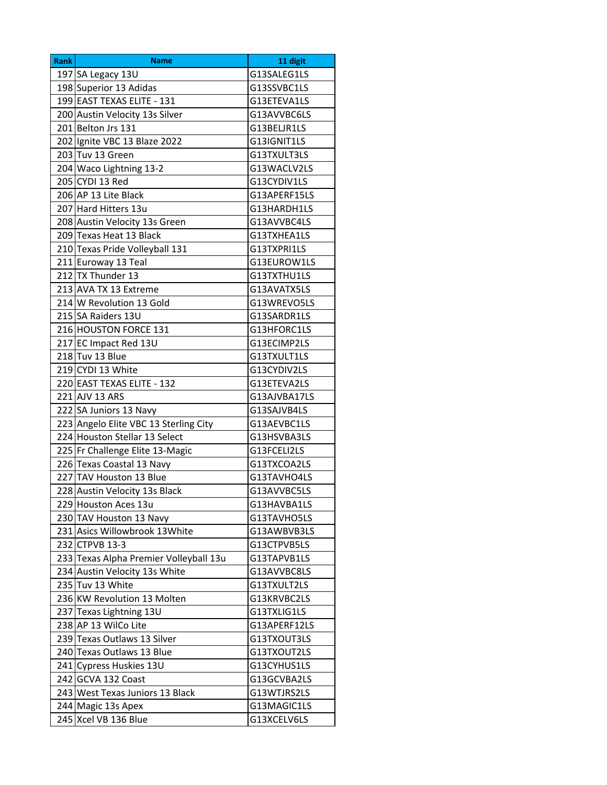| <b>Rank</b> | <b>Name</b>                            | 11 digit     |
|-------------|----------------------------------------|--------------|
|             | 197 SA Legacy 13U                      | G13SALEG1LS  |
|             | 198 Superior 13 Adidas                 | G13SSVBC1LS  |
|             | 199 EAST TEXAS ELITE - 131             | G13ETEVA1LS  |
|             | 200 Austin Velocity 13s Silver         | G13AVVBC6LS  |
|             | 201 Belton Jrs 131                     | G13BELJR1LS  |
|             | 202 Ignite VBC 13 Blaze 2022           | G13IGNIT1LS  |
|             | 203 Tuv 13 Green                       | G13TXULT3LS  |
|             | 204 Waco Lightning 13-2                | G13WACLV2LS  |
|             | 205 CYDI 13 Red                        | G13CYDIV1LS  |
|             | 206 AP 13 Lite Black                   | G13APERF15LS |
|             | 207 Hard Hitters 13u                   | G13HARDH1LS  |
|             | 208 Austin Velocity 13s Green          | G13AVVBC4LS  |
|             | 209 Texas Heat 13 Black                | G13TXHEA1LS  |
|             | 210 Texas Pride Volleyball 131         | G13TXPRI1LS  |
|             | 211 Euroway 13 Teal                    | G13EUROW1LS  |
|             | 212 TX Thunder 13                      | G13TXTHU1LS  |
|             | 213 AVA TX 13 Extreme                  | G13AVATX5LS  |
|             | 214 W Revolution 13 Gold               | G13WREVO5LS  |
|             | 215 SA Raiders 13U                     | G13SARDR1LS  |
|             | 216 HOUSTON FORCE 131                  | G13HFORC1LS  |
|             | 217 EC Impact Red 13U                  | G13ECIMP2LS  |
|             | 218 Tuv 13 Blue                        | G13TXULT1LS  |
|             | 219 CYDI 13 White                      | G13CYDIV2LS  |
|             | 220 EAST TEXAS ELITE - 132             | G13ETEVA2LS  |
|             | 221 AJV 13 ARS                         | G13AJVBA17LS |
|             | 222 SA Juniors 13 Navy                 | G13SAJVB4LS  |
|             | 223 Angelo Elite VBC 13 Sterling City  | G13AEVBC1LS  |
|             | 224 Houston Stellar 13 Select          | G13HSVBA3LS  |
|             | 225 Fr Challenge Elite 13-Magic        | G13FCELI2LS  |
|             | 226 Texas Coastal 13 Navy              | G13TXCOA2LS  |
|             | 227 TAV Houston 13 Blue                | G13TAVHO4LS  |
|             | 228 Austin Velocity 13s Black          | G13AVVBC5LS  |
|             | 229 Houston Aces 13u                   | G13HAVBA1LS  |
|             | 230 TAV Houston 13 Navy                | G13TAVHO5LS  |
|             | 231 Asics Willowbrook 13 White         | G13AWBVB3LS  |
|             | 232 CTPVB 13-3                         | G13CTPVB5LS  |
|             | 233 Texas Alpha Premier Volleyball 13u | G13TAPVB1LS  |
|             | 234 Austin Velocity 13s White          | G13AVVBC8LS  |
|             | 235 Tuv 13 White                       | G13TXULT2LS  |
|             | 236 KW Revolution 13 Molten            | G13KRVBC2LS  |
|             | 237 Texas Lightning 13U                | G13TXLIG1LS  |
|             | 238 AP 13 WilCo Lite                   | G13APERF12LS |
|             | 239 Texas Outlaws 13 Silver            | G13TXOUT3LS  |
|             | 240 Texas Outlaws 13 Blue              | G13TXOUT2LS  |
|             | 241 Cypress Huskies 13U                | G13CYHUS1LS  |
|             | 242 GCVA 132 Coast                     | G13GCVBA2LS  |
|             | 243 West Texas Juniors 13 Black        | G13WTJRS2LS  |
|             | 244 Magic 13s Apex                     | G13MAGIC1LS  |
|             |                                        |              |